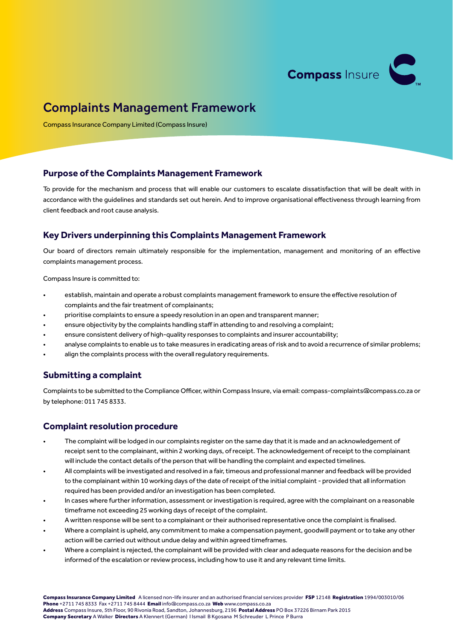

# Complaints Management Framework

Compass Insurance Company Limited (Compass Insure)

#### **Purpose of the Complaints Management Framework**

To provide for the mechanism and process that will enable our customers to escalate dissatisfaction that will be dealt with in accordance with the guidelines and standards set out herein. And to improve organisational effectiveness through learning from client feedback and root cause analysis.

## **Key Drivers underpinning this Complaints Management Framework**

Our board of directors remain ultimately responsible for the implementation, management and monitoring of an effective complaints management process.

Compass Insure is committed to:

- establish, maintain and operate a robust complaints management framework to ensure the effective resolution of complaints and the fair treatment of complainants;
- prioritise complaints to ensure a speedy resolution in an open and transparent manner;
- ensure objectivity by the complaints handling staff in attending to and resolving a complaint;
- ensure consistent delivery of high-quality responses to complaints and insurer accountability;
- analyse complaints to enable us to take measures in eradicating areas of risk and to avoid a recurrence of similar problems;
- align the complaints process with the overall regulatory requirements.

### **Submitting a complaint**

Complaints to be submitted to the Compliance Officer, within Compass Insure, via email: compass-complaints@compass.co.za or by telephone: 011 745 8333.

### **Complaint resolution procedure**

- The complaint will be lodged in our complaints register on the same day that it is made and an acknowledgement of receipt sent to the complainant, within 2 working days, of receipt. The acknowledgement of receipt to the complainant will include the contact details of the person that will be handling the complaint and expected timelines.
- All complaints will be investigated and resolved in a fair, timeous and professional manner and feedback will be provided to the complainant within 10 working days of the date of receipt of the initial complaint - provided that all information required has been provided and/or an investigation has been completed.
- In cases where further information, assessment or investigation is required, agree with the complainant on a reasonable timeframe not exceeding 25 working days of receipt of the complaint.
- A written response will be sent to a complainant or their authorised representative once the complaint is finalised.
- Where a complaint is upheld, any commitment to make a compensation payment, goodwill payment or to take any other action will be carried out without undue delay and within agreed timeframes.
- Where a complaint is rejected, the complainant will be provided with clear and adequate reasons for the decision and be informed of the escalation or review process, including how to use it and any relevant time limits.